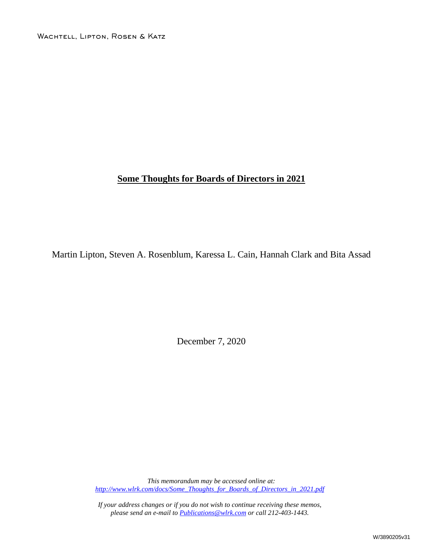WACHTELL, LIPTON, ROSEN & KATZ

### **Some Thoughts for Boards of Directors in 2021**

Martin Lipton, Steven A. Rosenblum, Karessa L. Cain, Hannah Clark and Bita Assad

December 7, 2020

*This memorandum may be accessed online at: [http://www.wlrk.com/docs/Some\\_Thoughts\\_for\\_Boards\\_of\\_Directors\\_in\\_2021.pdf](http://www.wlrk.com/docs/Some_Thoughts_for_Boards_of_Directors_in_2021.pdf)*

*If your address changes or if you do not wish to continue receiving these memos, please send an e-mail to [Publications@wlrk.com](mailto:Publications@wlrk.com) or call 212-403-1443.*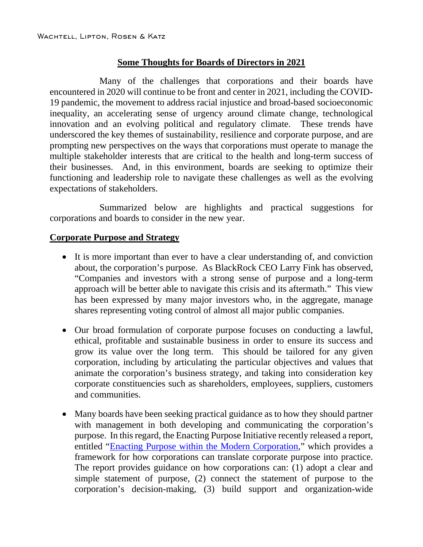## **Some Thoughts for Boards of Directors in 2021**

Many of the challenges that corporations and their boards have encountered in 2020 will continue to be front and center in 2021, including the COVID-19 pandemic, the movement to address racial injustice and broad-based socioeconomic inequality, an accelerating sense of urgency around climate change, technological innovation and an evolving political and regulatory climate. These trends have underscored the key themes of sustainability, resilience and corporate purpose, and are prompting new perspectives on the ways that corporations must operate to manage the multiple stakeholder interests that are critical to the health and long-term success of their businesses. And, in this environment, boards are seeking to optimize their functioning and leadership role to navigate these challenges as well as the evolving expectations of stakeholders.

Summarized below are highlights and practical suggestions for corporations and boards to consider in the new year.

### **Corporate Purpose and Strategy**

- It is more important than ever to have a clear understanding of, and conviction about, the corporation's purpose. As BlackRock CEO Larry Fink has observed, "Companies and investors with a strong sense of purpose and a long-term approach will be better able to navigate this crisis and its aftermath." This view has been expressed by many major investors who, in the aggregate, manage shares representing voting control of almost all major public companies.
- Our broad formulation of corporate purpose focuses on conducting a lawful, ethical, profitable and sustainable business in order to ensure its success and grow its value over the long term. This should be tailored for any given corporation, including by articulating the particular objectives and values that animate the corporation's business strategy, and taking into consideration key corporate constituencies such as shareholders, employees, suppliers, customers and communities.
- Many boards have been seeking practical guidance as to how they should partner with management in both developing and communicating the corporation's purpose. In this regard, the Enacting Purpose Initiative recently released a report, entitled ["Enacting Purpose within the Modern Corporation,](https://www.wlrk.com/docs/enacting-purpose-initiative---eu-report-august-2020.pdf)" which provides a framework for how corporations can translate corporate purpose into practice. The report provides guidance on how corporations can: (1) adopt a clear and simple statement of purpose, (2) connect the statement of purpose to the corporation's decision-making, (3) build support and organization-wide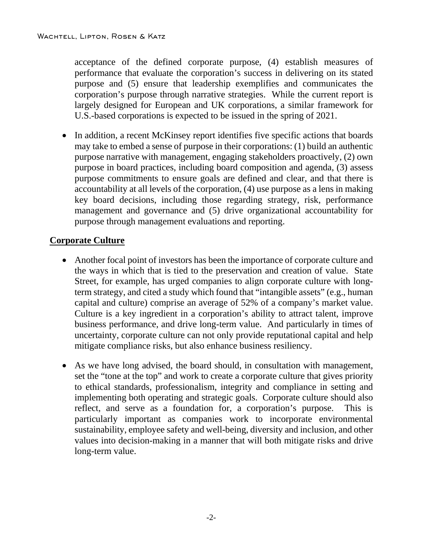acceptance of the defined corporate purpose, (4) establish measures of performance that evaluate the corporation's success in delivering on its stated purpose and (5) ensure that leadership exemplifies and communicates the corporation's purpose through narrative strategies. While the current report is largely designed for European and UK corporations, a similar framework for U.S.-based corporations is expected to be issued in the spring of 2021.

• In addition, a recent McKinsey report identifies five specific actions that boards may take to embed a sense of purpose in their corporations: (1) build an authentic purpose narrative with management, engaging stakeholders proactively, (2) own purpose in board practices, including board composition and agenda, (3) assess purpose commitments to ensure goals are defined and clear, and that there is accountability at all levels of the corporation, (4) use purpose as a lens in making key board decisions, including those regarding strategy, risk, performance management and governance and (5) drive organizational accountability for purpose through management evaluations and reporting.

# **Corporate Culture**

- Another focal point of investors has been the importance of corporate culture and the ways in which that is tied to the preservation and creation of value. State Street, for example, has urged companies to align corporate culture with longterm strategy, and cited a study which found that "intangible assets" (e.g., human capital and culture) comprise an average of 52% of a company's market value. Culture is a key ingredient in a corporation's ability to attract talent, improve business performance, and drive long-term value. And particularly in times of uncertainty, corporate culture can not only provide reputational capital and help mitigate compliance risks, but also enhance business resiliency.
- As we have long advised, the board should, in consultation with management, set the "tone at the top" and work to create a corporate culture that gives priority to ethical standards, professionalism, integrity and compliance in setting and implementing both operating and strategic goals. Corporate culture should also reflect, and serve as a foundation for, a corporation's purpose. This is particularly important as companies work to incorporate environmental sustainability, employee safety and well-being, diversity and inclusion, and other values into decision-making in a manner that will both mitigate risks and drive long-term value.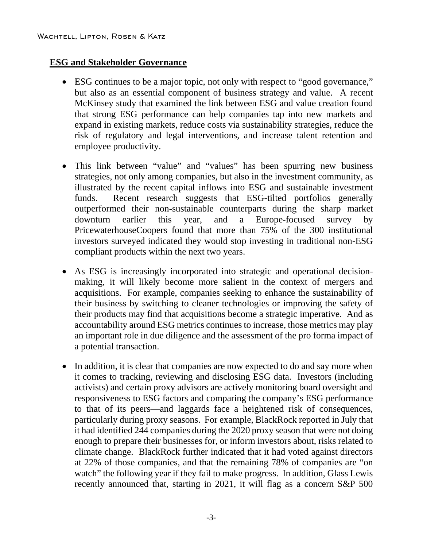## **ESG and Stakeholder Governance**

- ESG continues to be a major topic, not only with respect to "good governance," but also as an essential component of business strategy and value. A recent McKinsey study that examined the link between ESG and value creation found that strong ESG performance can help companies tap into new markets and expand in existing markets, reduce costs via sustainability strategies, reduce the risk of regulatory and legal interventions, and increase talent retention and employee productivity.
- This link between "value" and "values" has been spurring new business strategies, not only among companies, but also in the investment community, as illustrated by the recent capital inflows into ESG and sustainable investment funds. Recent research suggests that ESG-tilted portfolios generally outperformed their non-sustainable counterparts during the sharp market downturn earlier this year, and a Europe-focused survey by PricewaterhouseCoopers found that more than 75% of the 300 institutional investors surveyed indicated they would stop investing in traditional non-ESG compliant products within the next two years.
- As ESG is increasingly incorporated into strategic and operational decisionmaking, it will likely become more salient in the context of mergers and acquisitions. For example, companies seeking to enhance the sustainability of their business by switching to cleaner technologies or improving the safety of their products may find that acquisitions become a strategic imperative. And as accountability around ESG metrics continues to increase, those metrics may play an important role in due diligence and the assessment of the pro forma impact of a potential transaction.
- In addition, it is clear that companies are now expected to do and say more when it comes to tracking, reviewing and disclosing ESG data. Investors (including activists) and certain proxy advisors are actively monitoring board oversight and responsiveness to ESG factors and comparing the company's ESG performance to that of its peers—and laggards face a heightened risk of consequences, particularly during proxy seasons. For example, BlackRock reported in July that it had identified 244 companies during the 2020 proxy season that were not doing enough to prepare their businesses for, or inform investors about, risks related to climate change. BlackRock further indicated that it had voted against directors at 22% of those companies, and that the remaining 78% of companies are "on watch" the following year if they fail to make progress. In addition, Glass Lewis recently announced that, starting in 2021, it will flag as a concern S&P 500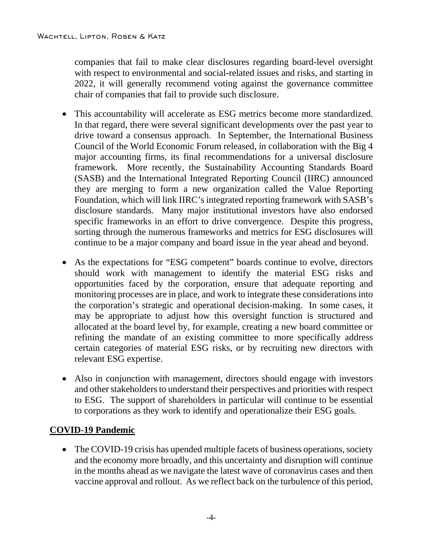companies that fail to make clear disclosures regarding board-level oversight with respect to environmental and social-related issues and risks, and starting in 2022, it will generally recommend voting against the governance committee chair of companies that fail to provide such disclosure.

- This accountability will accelerate as ESG metrics become more standardized. In that regard, there were several significant developments over the past year to drive toward a consensus approach. In September, the International Business Council of the World Economic Forum released, in collaboration with the Big 4 major accounting firms, its final recommendations for a universal disclosure framework. More recently, the Sustainability Accounting Standards Board (SASB) and the International Integrated Reporting Council (IIRC) announced they are merging to form a new organization called the Value Reporting Foundation, which will link IIRC's integrated reporting framework with SASB's disclosure standards. Many major institutional investors have also endorsed specific frameworks in an effort to drive convergence. Despite this progress, sorting through the numerous frameworks and metrics for ESG disclosures will continue to be a major company and board issue in the year ahead and beyond.
- As the expectations for "ESG competent" boards continue to evolve, directors should work with management to identify the material ESG risks and opportunities faced by the corporation, ensure that adequate reporting and monitoring processes are in place, and work to integrate these considerations into the corporation's strategic and operational decision-making. In some cases, it may be appropriate to adjust how this oversight function is structured and allocated at the board level by, for example, creating a new board committee or refining the mandate of an existing committee to more specifically address certain categories of material ESG risks, or by recruiting new directors with relevant ESG expertise.
- Also in conjunction with management, directors should engage with investors and other stakeholders to understand their perspectives and priorities with respect to ESG. The support of shareholders in particular will continue to be essential to corporations as they work to identify and operationalize their ESG goals.

# **COVID-19 Pandemic**

• The COVID-19 crisis has upended multiple facets of business operations, society and the economy more broadly, and this uncertainty and disruption will continue in the months ahead as we navigate the latest wave of coronavirus cases and then vaccine approval and rollout. As we reflect back on the turbulence of this period,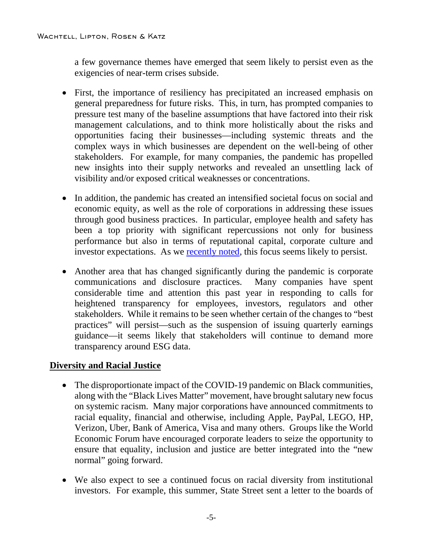a few governance themes have emerged that seem likely to persist even as the exigencies of near-term crises subside.

- First, the importance of resiliency has precipitated an increased emphasis on general preparedness for future risks. This, in turn, has prompted companies to pressure test many of the baseline assumptions that have factored into their risk management calculations, and to think more holistically about the risks and opportunities facing their businesses—including systemic threats and the complex ways in which businesses are dependent on the well-being of other stakeholders. For example, for many companies, the pandemic has propelled new insights into their supply networks and revealed an unsettling lack of visibility and/or exposed critical weaknesses or concentrations.
- In addition, the pandemic has created an intensified societal focus on social and economic equity, as well as the role of corporations in addressing these issues through good business practices. In particular, employee health and safety has been a top priority with significant repercussions not only for business performance but also in terms of reputational capital, corporate culture and investor expectations. As we [recently noted,](https://www.wlrk.com/webdocs/wlrknew/WLRKMemos/WLRK/WLRK.27152.20.pdf) this focus seems likely to persist.
- Another area that has changed significantly during the pandemic is corporate communications and disclosure practices. Many companies have spent considerable time and attention this past year in responding to calls for heightened transparency for employees, investors, regulators and other stakeholders. While it remains to be seen whether certain of the changes to "best practices" will persist—such as the suspension of issuing quarterly earnings guidance—it seems likely that stakeholders will continue to demand more transparency around ESG data.

# **Diversity and Racial Justice**

- The disproportionate impact of the COVID-19 pandemic on Black communities, along with the "Black Lives Matter" movement, have brought salutary new focus on systemic racism. Many major corporations have announced commitments to racial equality, financial and otherwise, including Apple, PayPal, LEGO, HP, Verizon, Uber, Bank of America, Visa and many others. Groups like the World Economic Forum have encouraged corporate leaders to seize the opportunity to ensure that equality, inclusion and justice are better integrated into the "new normal" going forward.
- We also expect to see a continued focus on racial diversity from institutional investors. For example, this summer, State Street sent a letter to the boards of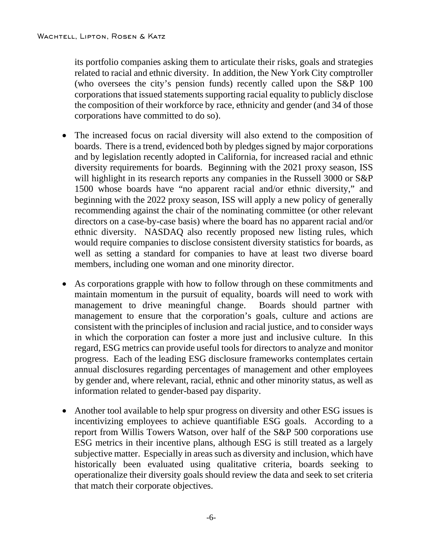its portfolio companies asking them to articulate their risks, goals and strategies related to racial and ethnic diversity. In addition, the New York City comptroller (who oversees the city's pension funds) recently called upon the S&P 100 corporations that issued statements supporting racial equality to publicly disclose the composition of their workforce by race, ethnicity and gender (and 34 of those corporations have committed to do so).

- The increased focus on racial diversity will also extend to the composition of boards. There is a trend, evidenced both by pledges signed by major corporations and by legislation recently adopted in California, for increased racial and ethnic diversity requirements for boards. Beginning with the 2021 proxy season, ISS will highlight in its research reports any companies in the Russell 3000 or S&P 1500 whose boards have "no apparent racial and/or ethnic diversity," and beginning with the 2022 proxy season, ISS will apply a new policy of generally recommending against the chair of the nominating committee (or other relevant directors on a case-by-case basis) where the board has no apparent racial and/or ethnic diversity. NASDAQ also recently proposed new listing rules, which would require companies to disclose consistent diversity statistics for boards, as well as setting a standard for companies to have at least two diverse board members, including one woman and one minority director.
- As corporations grapple with how to follow through on these commitments and maintain momentum in the pursuit of equality, boards will need to work with management to drive meaningful change. Boards should partner with management to ensure that the corporation's goals, culture and actions are consistent with the principles of inclusion and racial justice, and to consider ways in which the corporation can foster a more just and inclusive culture. In this regard, ESG metrics can provide useful tools for directors to analyze and monitor progress. Each of the leading ESG disclosure frameworks contemplates certain annual disclosures regarding percentages of management and other employees by gender and, where relevant, racial, ethnic and other minority status, as well as information related to gender-based pay disparity.
- Another tool available to help spur progress on diversity and other ESG issues is incentivizing employees to achieve quantifiable ESG goals. According to a report from Willis Towers Watson, over half of the S&P 500 corporations use ESG metrics in their incentive plans, although ESG is still treated as a largely subjective matter. Especially in areas such as diversity and inclusion, which have historically been evaluated using qualitative criteria, boards seeking to operationalize their diversity goals should review the data and seek to set criteria that match their corporate objectives.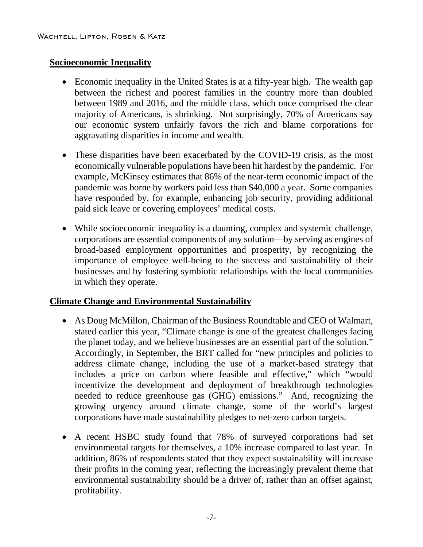#### **Socioeconomic Inequality**

- Economic inequality in the United States is at a fifty-year high. The wealth gap between the richest and poorest families in the country more than doubled between 1989 and 2016, and the middle class, which once comprised the clear majority of Americans, is shrinking. Not surprisingly, 70% of Americans say our economic system unfairly favors the rich and blame corporations for aggravating disparities in income and wealth.
- These disparities have been exacerbated by the COVID-19 crisis, as the most economically vulnerable populations have been hit hardest by the pandemic. For example, McKinsey estimates that 86% of the near-term economic impact of the pandemic was borne by workers paid less than \$40,000 a year. Some companies have responded by, for example, enhancing job security, providing additional paid sick leave or covering employees' medical costs.
- While socioeconomic inequality is a daunting, complex and systemic challenge, corporations are essential components of any solution—by serving as engines of broad-based employment opportunities and prosperity, by recognizing the importance of employee well-being to the success and sustainability of their businesses and by fostering symbiotic relationships with the local communities in which they operate.

# **Climate Change and Environmental Sustainability**

- As Doug McMillon, Chairman of the Business Roundtable and CEO of Walmart, stated earlier this year, "Climate change is one of the greatest challenges facing the planet today, and we believe businesses are an essential part of the solution." Accordingly, in September, the BRT called for "new principles and policies to address climate change, including the use of a market-based strategy that includes a price on carbon where feasible and effective," which "would incentivize the development and deployment of breakthrough technologies needed to reduce greenhouse gas (GHG) emissions." And, recognizing the growing urgency around climate change, some of the world's largest corporations have made sustainability pledges to net-zero carbon targets.
- A recent HSBC study found that 78% of surveyed corporations had set environmental targets for themselves, a 10% increase compared to last year. In addition, 86% of respondents stated that they expect sustainability will increase their profits in the coming year, reflecting the increasingly prevalent theme that environmental sustainability should be a driver of, rather than an offset against, profitability.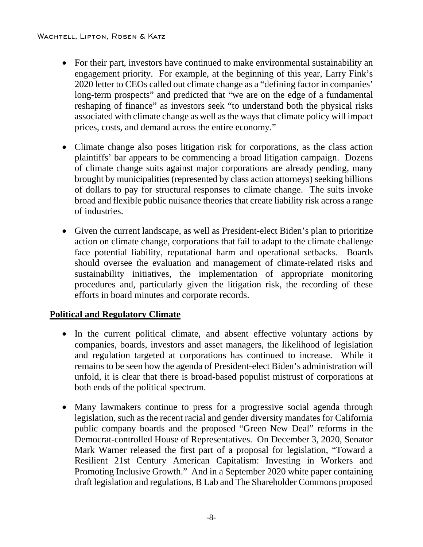#### Wachtell, Lipton, Rosen & Katz

- For their part, investors have continued to make environmental sustainability an engagement priority. For example, at the beginning of this year, Larry Fink's 2020 letter to CEOs called out climate change as a "defining factor in companies' long-term prospects" and predicted that "we are on the edge of a fundamental reshaping of finance" as investors seek "to understand both the physical risks associated with climate change as well as the ways that climate policy will impact prices, costs, and demand across the entire economy."
- Climate change also poses litigation risk for corporations, as the class action plaintiffs' bar appears to be commencing a broad litigation campaign. Dozens of climate change suits against major corporations are already pending, many brought by municipalities (represented by class action attorneys) seeking billions of dollars to pay for structural responses to climate change. The suits invoke broad and flexible public nuisance theories that create liability risk across a range of industries.
- Given the current landscape, as well as President-elect Biden's plan to prioritize action on climate change, corporations that fail to adapt to the climate challenge face potential liability, reputational harm and operational setbacks. Boards should oversee the evaluation and management of climate-related risks and sustainability initiatives, the implementation of appropriate monitoring procedures and, particularly given the litigation risk, the recording of these efforts in board minutes and corporate records.

# **Political and Regulatory Climate**

- In the current political climate, and absent effective voluntary actions by companies, boards, investors and asset managers, the likelihood of legislation and regulation targeted at corporations has continued to increase. While it remains to be seen how the agenda of President-elect Biden's administration will unfold, it is clear that there is broad-based populist mistrust of corporations at both ends of the political spectrum.
- Many lawmakers continue to press for a progressive social agenda through legislation, such as the recent racial and gender diversity mandates for California public company boards and the proposed "Green New Deal" reforms in the Democrat-controlled House of Representatives. On December 3, 2020, Senator Mark Warner released the first part of a proposal for legislation, "Toward a Resilient 21st Century American Capitalism: Investing in Workers and Promoting Inclusive Growth." And in a September 2020 white paper containing draft legislation and regulations, B Lab and The Shareholder Commons proposed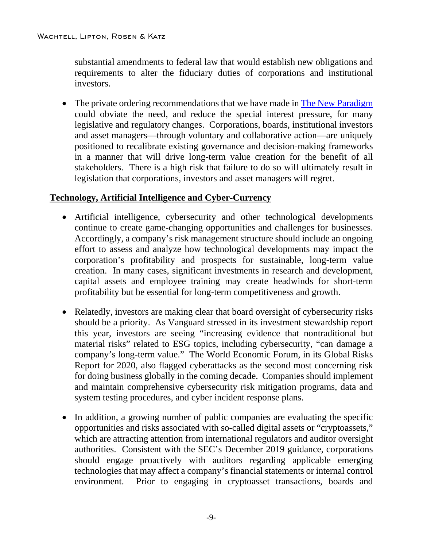substantial amendments to federal law that would establish new obligations and requirements to alter the fiduciary duties of corporations and institutional investors.

• The private ordering recommendations that we have made in [The New Paradigm](https://www.wlrk.com/webdocs/wlrknew/AttorneyPubs/WLRK.25960.16.pdf) could obviate the need, and reduce the special interest pressure, for many legislative and regulatory changes. Corporations, boards, institutional investors and asset managers—through voluntary and collaborative action—are uniquely positioned to recalibrate existing governance and decision-making frameworks in a manner that will drive long-term value creation for the benefit of all stakeholders. There is a high risk that failure to do so will ultimately result in legislation that corporations, investors and asset managers will regret.

### **Technology, Artificial Intelligence and Cyber-Currency**

- Artificial intelligence, cybersecurity and other technological developments continue to create game-changing opportunities and challenges for businesses. Accordingly, a company's risk management structure should include an ongoing effort to assess and analyze how technological developments may impact the corporation's profitability and prospects for sustainable, long-term value creation. In many cases, significant investments in research and development, capital assets and employee training may create headwinds for short-term profitability but be essential for long-term competitiveness and growth.
- Relatedly, investors are making clear that board oversight of cybersecurity risks should be a priority. As Vanguard stressed in its investment stewardship report this year, investors are seeing "increasing evidence that nontraditional but material risks" related to ESG topics, including cybersecurity, "can damage a company's long-term value." The World Economic Forum, in its Global Risks Report for 2020, also flagged cyberattacks as the second most concerning risk for doing business globally in the coming decade. Companies should implement and maintain comprehensive cybersecurity risk mitigation programs, data and system testing procedures, and cyber incident response plans.
- In addition, a growing number of public companies are evaluating the specific opportunities and risks associated with so-called digital assets or "cryptoassets," which are attracting attention from international regulators and auditor oversight authorities. Consistent with the SEC's December 2019 guidance, corporations should engage proactively with auditors regarding applicable emerging technologies that may affect a company's financial statements or internal control environment. Prior to engaging in cryptoasset transactions, boards and